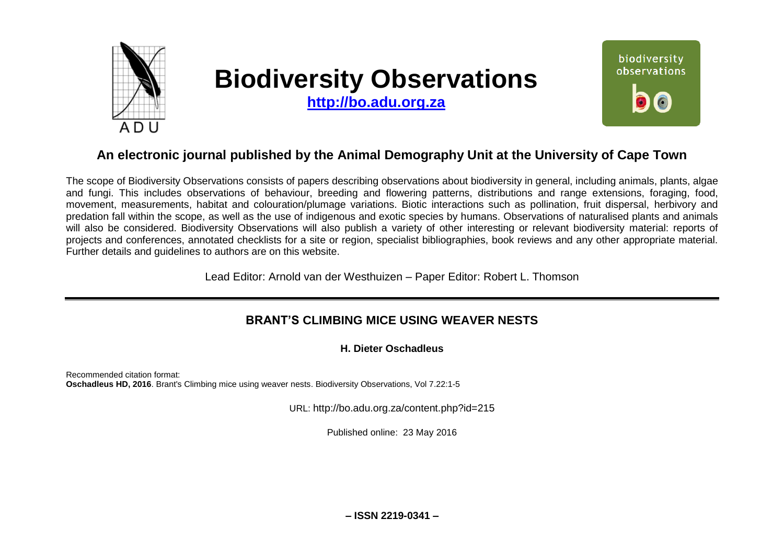

# **Biodiversity Observations**

**[http://bo.adu.org.za](http://bo.adu.org.za/)**



# **An electronic journal published by the Animal Demography Unit at the University of Cape Town**

The scope of Biodiversity Observations consists of papers describing observations about biodiversity in general, including animals, plants, algae and fungi. This includes observations of behaviour, breeding and flowering patterns, distributions and range extensions, foraging, food, movement, measurements, habitat and colouration/plumage variations. Biotic interactions such as pollination, fruit dispersal, herbivory and predation fall within the scope, as well as the use of indigenous and exotic species by humans. Observations of naturalised plants and animals will also be considered. Biodiversity Observations will also publish a variety of other interesting or relevant biodiversity material: reports of projects and conferences, annotated checklists for a site or region, specialist bibliographies, book reviews and any other appropriate material. Further details and guidelines to authors are on this website.

Lead Editor: Arnold van der Westhuizen – Paper Editor: Robert L. Thomson

# **BRANT'S CLIMBING MICE USING WEAVER NESTS**

## **H. Dieter Oschadleus**

Recommended citation format: **Oschadleus HD, 2016**. Brant's Climbing mice using weaver nests. Biodiversity Observations, Vol 7.22:1-5

URL: http://bo.adu.org.za/content.php?id=215

Published online: 23 May 2016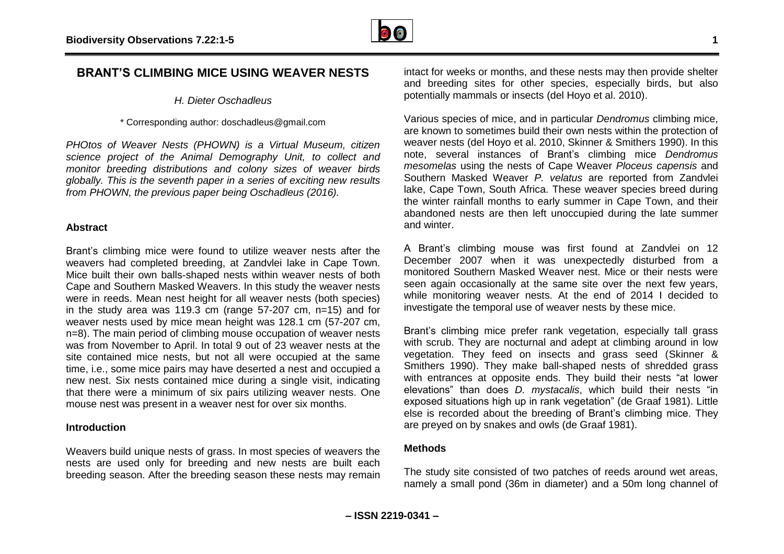

## **BRANT'S CLIMBING MICE USING WEAVER NESTS**

#### *H. Dieter Oschadleus*

\* Corresponding author: doschadleus@gmail.com

*PHOtos of Weaver Nests (PHOWN) is a Virtual Museum, citizen science project of the Animal Demography Unit, to collect and monitor breeding distributions and colony sizes of weaver birds globally. This is the seventh paper in a series of exciting new results from PHOWN, the previous paper being Oschadleus (2016).*

#### **Abstract**

Brant's climbing mice were found to utilize weaver nests after the weavers had completed breeding, at Zandvlei lake in Cape Town. Mice built their own balls-shaped nests within weaver nests of both Cape and Southern Masked Weavers. In this study the weaver nests were in reeds. Mean nest height for all weaver nests (both species) in the study area was 119.3 cm (range 57-207 cm, n=15) and for weaver nests used by mice mean height was 128.1 cm (57-207 cm, n=8). The main period of climbing mouse occupation of weaver nests was from November to April. In total 9 out of 23 weaver nests at the site contained mice nests, but not all were occupied at the same time, i.e., some mice pairs may have deserted a nest and occupied a new nest. Six nests contained mice during a single visit, indicating that there were a minimum of six pairs utilizing weaver nests. One mouse nest was present in a weaver nest for over six months.

#### **Introduction**

Weavers build unique nests of grass. In most species of weavers the nests are used only for breeding and new nests are built each breeding season. After the breeding season these nests may remain intact for weeks or months, and these nests may then provide shelter and breeding sites for other species, especially birds, but also potentially mammals or insects (del Hoyo et al. 2010).

Various species of mice, and in particular *Dendromus* climbing mice, are known to sometimes build their own nests within the protection of weaver nests (del Hoyo et al. 2010, Skinner & Smithers 1990). In this note, several instances of Brant's climbing mice *Dendromus mesomelas* using the nests of Cape Weaver *Ploceus capensis* and Southern Masked Weaver *P. velatus* are reported from Zandvlei lake, Cape Town, South Africa. These weaver species breed during the winter rainfall months to early summer in Cape Town, and their abandoned nests are then left unoccupied during the late summer and winter.

A Brant's climbing mouse was first found at Zandvlei on 12 December 2007 when it was unexpectedly disturbed from a monitored Southern Masked Weaver nest. Mice or their nests were seen again occasionally at the same site over the next few years, while monitoring weaver nests. At the end of 2014 I decided to investigate the temporal use of weaver nests by these mice.

Brant's climbing mice prefer rank vegetation, especially tall grass with scrub. They are nocturnal and adept at climbing around in low vegetation. They feed on insects and grass seed (Skinner & Smithers 1990). They make ball-shaped nests of shredded grass with entrances at opposite ends. They build their nests "at lower elevations" than does *D. mystacalis*, which build their nests "in exposed situations high up in rank vegetation" (de Graaf 1981). Little else is recorded about the breeding of Brant's climbing mice. They are preyed on by snakes and owls (de Graaf 1981).

#### **Methods**

The study site consisted of two patches of reeds around wet areas, namely a small pond (36m in diameter) and a 50m long channel of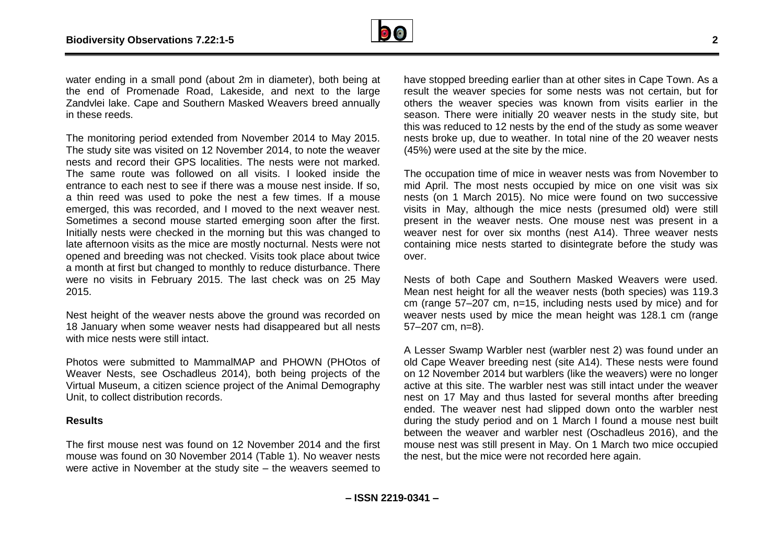

water ending in a small pond (about 2m in diameter), both being at the end of Promenade Road, Lakeside, and next to the large Zandvlei lake. Cape and Southern Masked Weavers breed annually in these reeds.

The monitoring period extended from November 2014 to May 2015. The study site was visited on 12 November 2014, to note the weaver nests and record their GPS localities. The nests were not marked. The same route was followed on all visits. I looked inside the entrance to each nest to see if there was a mouse nest inside. If so, a thin reed was used to poke the nest a few times. If a mouse emerged, this was recorded, and I moved to the next weaver nest. Sometimes a second mouse started emerging soon after the first. Initially nests were checked in the morning but this was changed to late afternoon visits as the mice are mostly nocturnal. Nests were not opened and breeding was not checked. Visits took place about twice a month at first but changed to monthly to reduce disturbance. There were no visits in February 2015. The last check was on 25 May 2015.

Nest height of the weaver nests above the ground was recorded on 18 January when some weaver nests had disappeared but all nests with mice nests were still intact.

Photos were submitted to MammalMAP and PHOWN (PHOtos of Weaver Nests, see Oschadleus 2014), both being projects of the Virtual Museum, a citizen science project of the Animal Demography Unit, to collect distribution records.

#### **Results**

The first mouse nest was found on 12 November 2014 and the first mouse was found on 30 November 2014 (Table 1). No weaver nests were active in November at the study site – the weavers seemed to

have stopped breeding earlier than at other sites in Cape Town. As a result the weaver species for some nests was not certain, but for others the weaver species was known from visits earlier in the season. There were initially 20 weaver nests in the study site, but this was reduced to 12 nests by the end of the study as some weaver nests broke up, due to weather. In total nine of the 20 weaver nests (45%) were used at the site by the mice.

The occupation time of mice in weaver nests was from November to mid April. The most nests occupied by mice on one visit was six nests (on 1 March 2015). No mice were found on two successive visits in May, although the mice nests (presumed old) were still present in the weaver nests. One mouse nest was present in a weaver nest for over six months (nest A14). Three weaver nests containing mice nests started to disintegrate before the study was over.

Nests of both Cape and Southern Masked Weavers were used. Mean nest height for all the weaver nests (both species) was 119.3 cm (range 57–207 cm, n=15, including nests used by mice) and for weaver nests used by mice the mean height was 128.1 cm (range 57–207 cm, n=8).

A Lesser Swamp Warbler nest (warbler nest 2) was found under an old Cape Weaver breeding nest (site A14). These nests were found on 12 November 2014 but warblers (like the weavers) were no longer active at this site. The warbler nest was still intact under the weaver nest on 17 May and thus lasted for several months after breeding ended. The weaver nest had slipped down onto the warbler nest during the study period and on 1 March I found a mouse nest built between the weaver and warbler nest (Oschadleus 2016), and the mouse nest was still present in May. On 1 March two mice occupied the nest, but the mice were not recorded here again.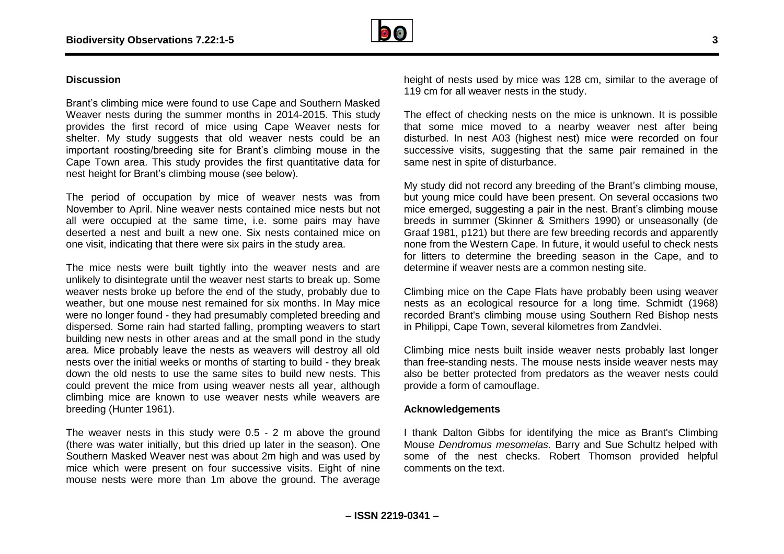

#### **Discussion**

Brant's climbing mice were found to use Cape and Southern Masked Weaver nests during the summer months in 2014-2015. This study provides the first record of mice using Cape Weaver nests for shelter. My study suggests that old weaver nests could be an important roosting/breeding site for Brant's climbing mouse in the Cape Town area. This study provides the first quantitative data for nest height for Brant's climbing mouse (see below).

The period of occupation by mice of weaver nests was from November to April. Nine weaver nests contained mice nests but not all were occupied at the same time, i.e. some pairs may have deserted a nest and built a new one. Six nests contained mice on one visit, indicating that there were six pairs in the study area.

The mice nests were built tightly into the weaver nests and are unlikely to disintegrate until the weaver nest starts to break up. Some weaver nests broke up before the end of the study, probably due to weather, but one mouse nest remained for six months. In May mice were no longer found - they had presumably completed breeding and dispersed. Some rain had started falling, prompting weavers to start building new nests in other areas and at the small pond in the study area. Mice probably leave the nests as weavers will destroy all old nests over the initial weeks or months of starting to build - they break down the old nests to use the same sites to build new nests. This could prevent the mice from using weaver nests all year, although climbing mice are known to use weaver nests while weavers are breeding (Hunter 1961).

The weaver nests in this study were 0.5 - 2 m above the ground (there was water initially, but this dried up later in the season). One Southern Masked Weaver nest was about 2m high and was used by mice which were present on four successive visits. Eight of nine mouse nests were more than 1m above the ground. The average

height of nests used by mice was 128 cm, similar to the average of 119 cm for all weaver nests in the study.

The effect of checking nests on the mice is unknown. It is possible that some mice moved to a nearby weaver nest after being disturbed. In nest A03 (highest nest) mice were recorded on four successive visits, suggesting that the same pair remained in the same nest in spite of disturbance.

My study did not record any breeding of the Brant's climbing mouse, but young mice could have been present. On several occasions two mice emerged, suggesting a pair in the nest. Brant's climbing mouse breeds in summer (Skinner & Smithers 1990) or unseasonally (de Graaf 1981, p121) but there are few breeding records and apparently none from the Western Cape. In future, it would useful to check nests for litters to determine the breeding season in the Cape, and to determine if weaver nests are a common nesting site.

Climbing mice on the Cape Flats have probably been using weaver nests as an ecological resource for a long time. Schmidt (1968) recorded Brant's climbing mouse using Southern Red Bishop nests in Philippi, Cape Town, several kilometres from Zandvlei.

Climbing mice nests built inside weaver nests probably last longer than free-standing nests. The mouse nests inside weaver nests may also be better protected from predators as the weaver nests could provide a form of camouflage.

#### **Acknowledgements**

I thank Dalton Gibbs for identifying the mice as Brant's Climbing Mouse *Dendromus mesomelas.* Barry and Sue Schultz helped with some of the nest checks. Robert Thomson provided helpful comments on the text.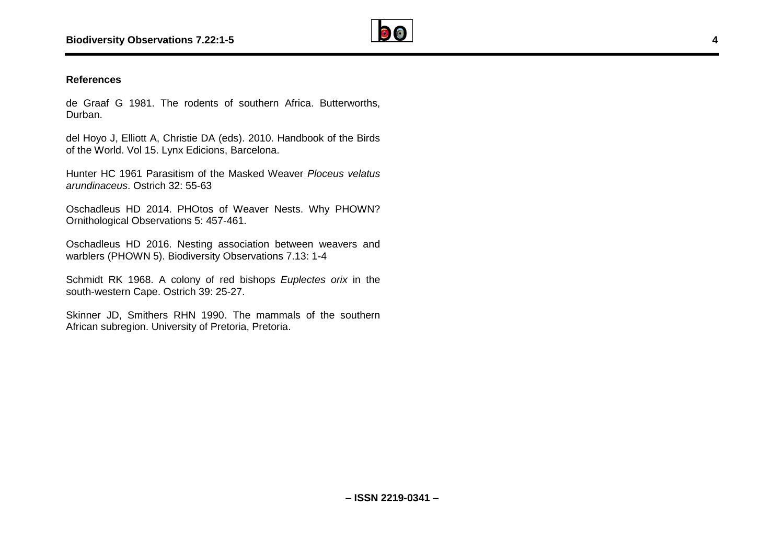

## **References**

de Graaf G 1981. The rodents of southern Africa. Butterworths, Durban.

del Hoyo J, Elliott A, Christie DA (eds). 2010. Handbook of the Birds of the World. Vol 15. Lynx Edicions, Barcelona.

Hunter HC 1961 Parasitism of the Masked Weaver *Ploceus velatus arundinaceus*. Ostrich 32: 55-63

Oschadleus HD 2014. PHOtos of Weaver Nests. Why PHOWN? Ornithological Observations 5: 457-461.

Oschadleus HD 2016. Nesting association between weavers and warblers (PHOWN 5). Biodiversity Observations 7.13: 1-4

Schmidt RK 1968. A colony of red bishops *Euplectes orix* in the south-western Cape. Ostrich 39: 25-27.

Skinner JD, Smithers RHN 1990. The mammals of the southern African subregion. University of Pretoria, Pretoria.